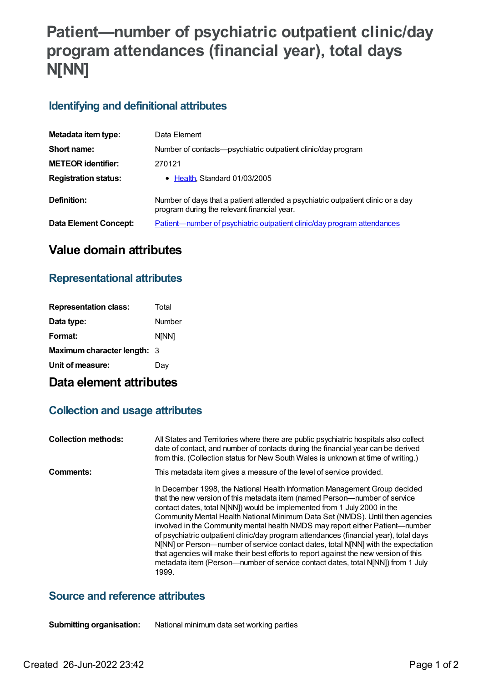# **Patient—number of psychiatric outpatient clinic/day program attendances (financial year), total days N[NN]**

### **Identifying and definitional attributes**

| Metadata item type:         | Data Element                                                                                                                   |
|-----------------------------|--------------------------------------------------------------------------------------------------------------------------------|
| Short name:                 | Number of contacts—psychiatric outpatient clinic/day program                                                                   |
| <b>METEOR identifier:</b>   | 270121                                                                                                                         |
| <b>Registration status:</b> | • Health, Standard 01/03/2005                                                                                                  |
| Definition:                 | Number of days that a patient attended a psychiatric outpatient clinic or a day<br>program during the relevant financial year. |
| Data Element Concept:       | Patient-number of psychiatric outpatient clinic/day program attendances                                                        |

### **Value domain attributes**

### **Representational attributes**

| <b>Representation class:</b>       | Total        |
|------------------------------------|--------------|
| Data type:                         | Number       |
| Format:                            | <b>NINN1</b> |
| <b>Maximum character length: 3</b> |              |
| Unit of measure:                   | Dav          |

## **Data element attributes**

### **Collection and usage attributes**

| <b>Collection methods:</b> | All States and Territories where there are public psychiatric hospitals also collect<br>date of contact, and number of contacts during the financial year can be derived<br>from this. (Collection status for New South Wales is unknown at time of writing.)                                                                                                                                                                                                                                                                                                                                                                                                                                                                                                               |
|----------------------------|-----------------------------------------------------------------------------------------------------------------------------------------------------------------------------------------------------------------------------------------------------------------------------------------------------------------------------------------------------------------------------------------------------------------------------------------------------------------------------------------------------------------------------------------------------------------------------------------------------------------------------------------------------------------------------------------------------------------------------------------------------------------------------|
| Comments:                  | This metadata item gives a measure of the level of service provided.                                                                                                                                                                                                                                                                                                                                                                                                                                                                                                                                                                                                                                                                                                        |
|                            | In December 1998, the National Health Information Management Group decided<br>that the new version of this metadata item (named Person--number of service<br>contact dates, total N[NN]) would be implemented from 1 July 2000 in the<br>Community Mental Health National Minimum Data Set (NMDS). Until then agencies<br>involved in the Community mental health NMDS may report either Patient—number<br>of psychiatric outpatient clinic/day program attendances (financial year), total days<br>N[NN] or Person—number of service contact dates, total N[NN] with the expectation<br>that agencies will make their best efforts to report against the new version of this<br>metadata item (Person---number of service contact dates, total N[NN]) from 1 July<br>1999. |

#### **Source and reference attributes**

**Submitting organisation:** National minimum data set working parties